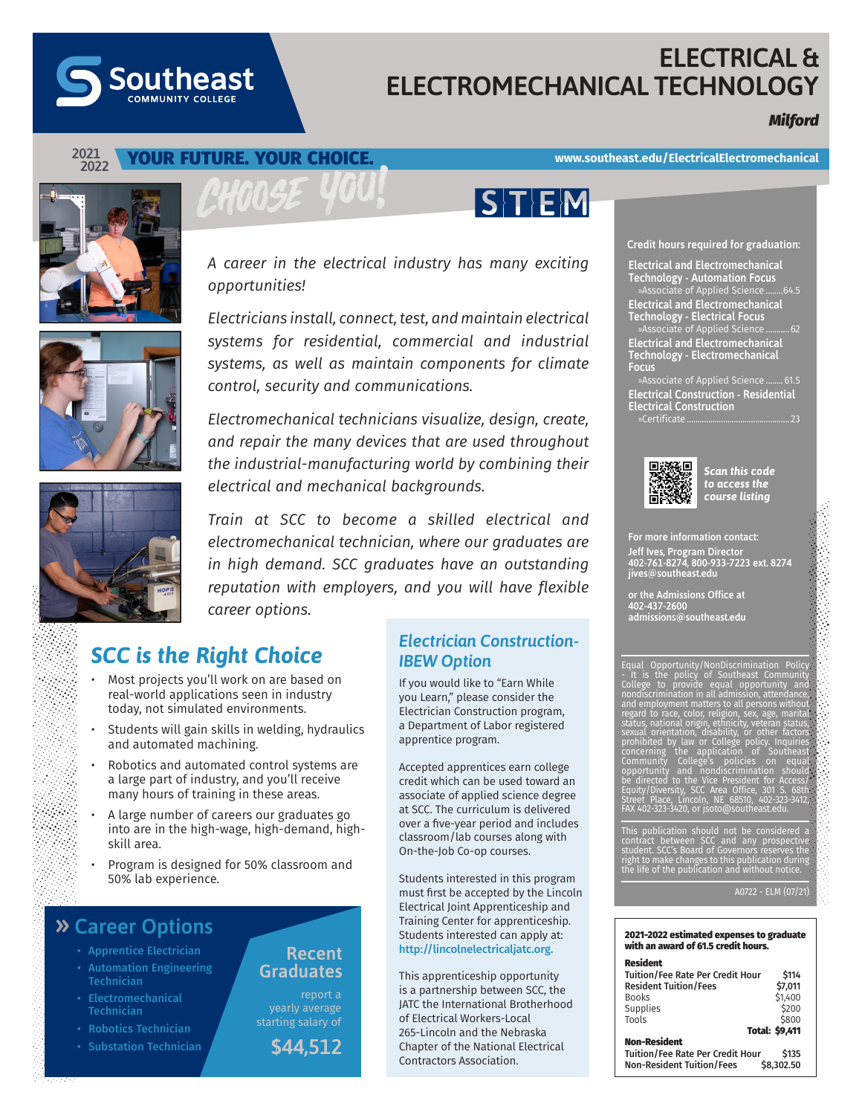# **ELECTRICAL & ELECTROMECHANICAL TECHNOLOGY**

 $S$ T $E$ M

## *Milford*



## YOUR FUTURE. YOUR CHOICE.

**Southeast** 

### **www.southeast.edu/ElectricalElectromechanical**



*A career in the electrical industry has many exciting opportunities!* 

*Electricians install, connect, test, and maintain electrical systems for residential, commercial and industrial systems, as well as maintain components for climate control, security and communications.*

*Electromechanical technicians visualize, design, create, and repair the many devices that are used throughout the industrial-manufacturing world by combining their electrical and mechanical backgrounds.* 

*Train at SCC to become a skilled electrical and electromechanical technician, where our graduates are in high demand. SCC graduates have an outstanding reputation with employers, and you will have flexible career options.* 

# *SCC is the Right Choice*

- Most projects you'll work on are based on real-world applications seen in industry today, not simulated environments.
- Students will gain skills in welding, hydraulics and automated machining.
- Robotics and automated control systems are a large part of industry, and you'll receive many hours of training in these areas.
- A large number of careers our graduates go into are in the high-wage, high-demand, highskill area.
- Program is designed for 50% classroom and 50% lab experience.

**Recent Graduates** 

report a yearly average starting salary of

## **» Career Options**

- Apprentice Electrician
- Automation Engineering Technician
- Electromechanical **Technician**
- 
- Substation Technician **\$44.512**

*Electrician Construction-IBEW Option*

If you would like to "Earn While you Learn," please consider the Electrician Construction program, a Department of Labor registered apprentice program.

Accepted apprentices earn college credit which can be used toward an associate of applied science degree at SCC. The curriculum is delivered over a five-year period and includes classroom/lab courses along with On-the-Job Co-op courses.

Students interested in this program must first be accepted by the Lincoln Electrical Joint Apprenticeship and Training Center for apprenticeship. Students interested can apply at: http://lincolnelectricaljatc.org.

This apprenticeship opportunity is a partnership between SCC, the JATC the International Brotherhood of Electrical Workers-Local 265-Lincoln and the Nebraska Chapter of the National Electrical Contractors Association.

#### **Credit hours required for graduation:**

**Electrical and Electromechanical Technology - Automation Focus** »Associate of Applied Science ........64.5 **Electrical and Electromechanical Technology - Electrical Focus** »Associate of Applied Science ...........62 **Electrical and Electromechanical Technology - Electromechanical Focus**

»Associate of Applied Science ........ 61.5 **Electrical Construction - Residential Electrical Construction** »Certificate................................................ 23



*Scan this code to access the course listing*

For more information contact: Jeff Ives, Program Director 402-761-8274, 800-933-7223 ext. 8274 jives@southeast.edu

or the Admissions Office at 402-437-2600 admissions@southeast.edu

| Equal Opportunity/NonDiscrimination Policy.<br>- It is the policy of Southeast Community<br>College to provide equal opportunity and<br>nondiscrimination in all admission, attendance, |  |
|-----------------------------------------------------------------------------------------------------------------------------------------------------------------------------------------|--|
| <u>and employ</u> ment matters to all persons without<br>regard to race, color, religion, sex, age, marital<br>status, national origin, ethnicity, veteran status,                      |  |
| sexual orientation, disability, or other factors<br>prohibited by law or College policy. Inquiries                                                                                      |  |
| concerning the application of Southeast<br>Community College's policies on equal<br>opportunity and nondiscrimination should                                                            |  |
| be directed to the Vice President for Access/<br>Equity/Diversity, SCC Area Office, 301 S. 68th                                                                                         |  |
| Street Place, Lincoln, NE 68510, 402-323-3412,<br>FAX 402-323-3420, or jsoto@southeast.edu.                                                                                             |  |

This publication should not be considered a<br>contract between SCC and any prospective<br>student. SCC's Board of Governors reserves the<br>right to make changes to this publication during<br>the life of the publication and without n

A0722 - ELM (07/21)

#### 2021-2022 estimated expenses to graduate with an award of 61.5 credit hours.

#### Resident ----------<br>Tuition/Fee Rate Per Credit Hour \$114<br>Resident Tuition/Fees \$7,011 **Resident Tuition/Fees**<br>Books  $$1,400$ <br> $$200$ Supplies  $\begin{array}{c} \xi_{200} \\ \xi_{200} \end{array}$ Tools \$800 Total: \$9,411 Non-Resident Tuition/Fee Rate Per Credit Hour \$135<br>Non-Resident Tuition/Fees \$8.302.50

Non-Resident Tuition/Fees